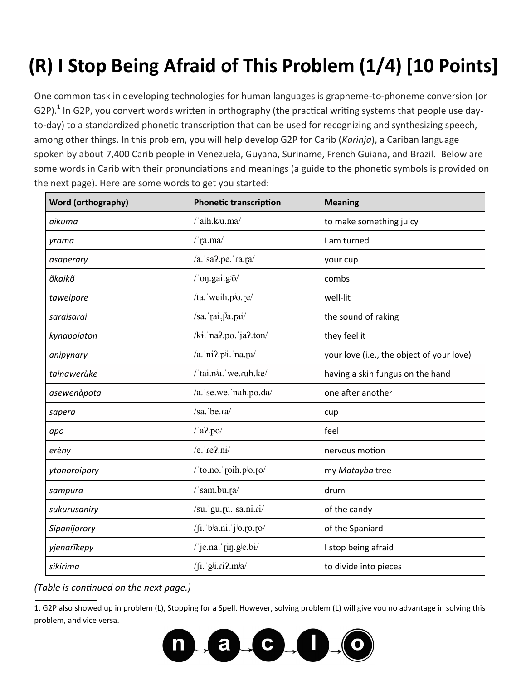## **(R) I Stop Being Afraid of This Problem (1/4) [10 Points]**

One common task in developing technologies for human languages is grapheme-to-phoneme conversion (or G2P).<sup>1</sup> In G2P, you convert words written in orthography (the practical writing systems that people use dayto-day) to a standardized phonetic transcription that can be used for recognizing and synthesizing speech, among other things. In this problem, you will help develop G2P for Carib (*Karìnja*), a Cariban language spoken by about 7,400 Carib people in Venezuela, Guyana, Suriname, French Guiana, and Brazil. Below are some words in Carib with their pronunciations and meanings (a guide to the phonetic symbols is provided on the next page). Here are some words to get you started:

| Word (orthography) | <b>Phonetic transcription</b>  | <b>Meaning</b>                            |  |
|--------------------|--------------------------------|-------------------------------------------|--|
| aikuma             | /'aih.k <sup>j</sup> u.ma/     | to make something juicy                   |  |
| yrama              | /'ra.ma/                       | I am turned                               |  |
| asaperary          | $/a$ . sa?.pe. ra.pa/          | your cup                                  |  |
| õkaikõ             | $/$ 'on.gai.g $\frac{3}{2}$    | combs                                     |  |
| taweipore          | /ta. weih.po.re/               | well-lit                                  |  |
| saraisarai         | /sa. rai.f <sup>j</sup> a.rai/ | the sound of raking                       |  |
| kynapojaton        | /ki. na?.po. ja?.ton/          | they feel it                              |  |
| anipynary          | /a. $ni2$ .pii. na. $ra/$      | your love (i.e., the object of your love) |  |
| tainawerùke        | /'tai.nia.'we.ruh.ke/          | having a skin fungus on the hand          |  |
| asewenàpota        | /a.'se.we.'nah.po.da/          | one after another                         |  |
| sapera             | $/sa.$ be. $ra/$               | cup                                       |  |
| apo                | $/$ a?.po $/$                  | feel                                      |  |
| erèny              | /e.' $re2.ni/$                 | nervous motion                            |  |
| ytonoroipory       | /'to.no.'roih.po.ro/           | my Matayba tree                           |  |
| sampura            | /'sam.bu.ra/                   | drum                                      |  |
| sukurusaniry       | /su.'gu.ru.'sa.ni.ri/          | of the candy                              |  |
| Sipanijorory       | /fi. bia.ni. jio.ro.ro/        | of the Spaniard                           |  |
| yjenarîkepy        | / je.na. rin.gle.bi/           | I stop being afraid                       |  |
| sikirìma           | / $\int$ i. gii.ri?.mia/       | to divide into pieces                     |  |

*(Table is continued on the next page.)*

1. G2P also showed up in problem (L), Stopping for a Spell. However, solving problem (L) will give you no advantage in solving this problem, and vice versa.

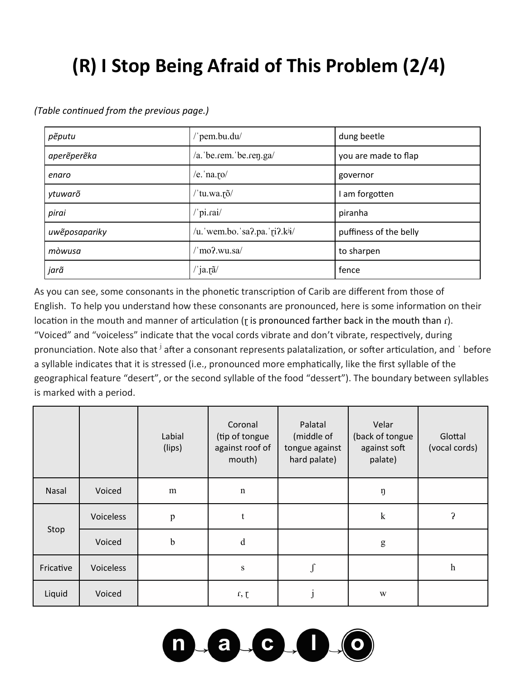## **(R) I Stop Being Afraid of This Problem (2/4)**

| pẽputu        | 'pem.bu.du/                               | dung beetle            |  |
|---------------|-------------------------------------------|------------------------|--|
| aperêperêka   | /a. be.rem. be.ren.ga/                    | you are made to flap   |  |
| enaro         | /e. $na$ . $ro/$                          | governor               |  |
| ytuwarõ       | tu.wa.rõ/                                 | I am forgotten         |  |
| pirai         | 'pi.rai/                                  | piranha                |  |
| uweposapariky | /u. wem.bo. sa?.pa. ri?.k <sup>ij</sup> / | puffiness of the belly |  |
| mòwusa        | 'mo?.wu.sa/                               | to sharpen             |  |
| jarã          | ′ ja.rã∕                                  | fence                  |  |

*(Table continued from the previous page.)*

As you can see, some consonants in the phonetic transcription of Carib are different from those of English. To help you understand how these consonants are pronounced, here is some information on their location in the mouth and manner of articulation ( $r$  is pronounced farther back in the mouth than  $r$ ). "Voiced" and "voiceless" indicate that the vocal cords vibrate and don't vibrate, respectively, during pronunciation. Note also that <sup>j</sup> after a consonant represents palatalization, or softer articulation, and ' before a syllable indicates that it is stressed (i.e., pronounced more emphatically, like the first syllable of the geographical feature "desert", or the second syllable of the food "dessert"). The boundary between syllables is marked with a period.

|           |           | Labial<br>(lips) | Coronal<br>(tip of tongue<br>against roof of<br>mouth) | Palatal<br>(middle of<br>tongue against<br>hard palate) | Velar<br>(back of tongue<br>against soft<br>palate) | Glottal<br>(vocal cords) |
|-----------|-----------|------------------|--------------------------------------------------------|---------------------------------------------------------|-----------------------------------------------------|--------------------------|
| Nasal     | Voiced    | m                | $\mathbf n$                                            |                                                         | ŋ                                                   |                          |
|           | Voiceless | $\, {\bf p}$     | t                                                      |                                                         | ${\bf k}$                                           | 5                        |
| Stop      | Voiced    | $\mathbf b$      | d                                                      |                                                         | ${\sf g}$                                           |                          |
| Fricative | Voiceless |                  | ${\bf S}$                                              | J                                                       |                                                     | $\boldsymbol{h}$         |
| Liquid    | Voiced    |                  | r, t                                                   | $\mathbf{1}$                                            | W                                                   |                          |

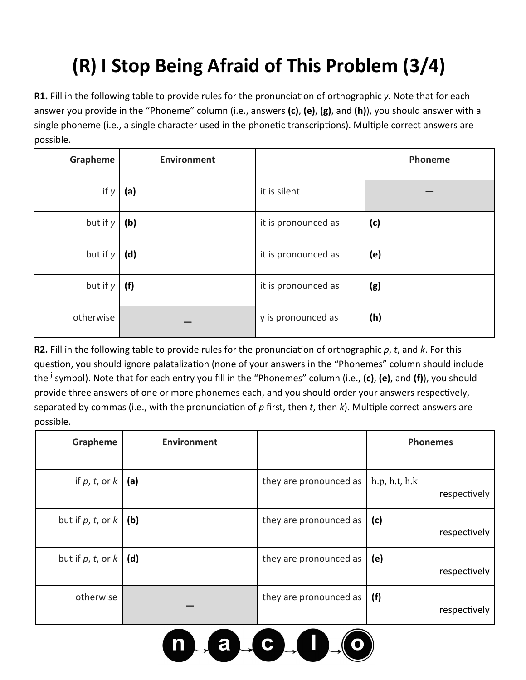## **(R) I Stop Being Afraid of This Problem (3/4)**

**R1.** Fill in the following table to provide rules for the pronunciation of orthographic *y*. Note that for each answer you provide in the "Phoneme" column (i.e., answers **(c)**, **(e)**, **(g)**, and **(h)**), you should answer with a single phoneme (i.e., a single character used in the phonetic transcriptions). Multiple correct answers are possible.

| Grapheme   | <b>Environment</b> |                     | Phoneme |
|------------|--------------------|---------------------|---------|
| if $y$     | (a)                | it is silent        |         |
| but if $y$ | (b)                | it is pronounced as | (c)     |
| but if $y$ | (d)                | it is pronounced as | (e)     |
| but if $y$ | (f)                | it is pronounced as | (g)     |
| otherwise  |                    | y is pronounced as  | (h)     |

**R2.** Fill in the following table to provide rules for the pronunciation of orthographic *p*, *t*, and *k*. For this question, you should ignore palatalization (none of your answers in the "Phonemes" column should include the <sup>j</sup> symbol). Note that for each entry you fill in the "Phonemes" column (i.e., **(c)**, **(e)**, and **(f)**), you should provide three answers of one or more phonemes each, and you should order your answers respectively, separated by commas (i.e., with the pronunciation of *p* first, then *t*, then *k*). Multiple correct answers are possible.

| Grapheme                       | <b>Environment</b> |                        | <b>Phonemes</b>               |
|--------------------------------|--------------------|------------------------|-------------------------------|
| if $p, t,$ or $k$ (a)          |                    | they are pronounced as | h.p, h.t, h.k<br>respectively |
| but if $p, t,$ or $k$          | (b)                | they are pronounced as | (c)<br>respectively           |
| but if $p, t,$ or $k \mid (d)$ |                    | they are pronounced as | (e)<br>respectively           |
| otherwise                      |                    | they are pronounced as | (f)<br>respectively           |